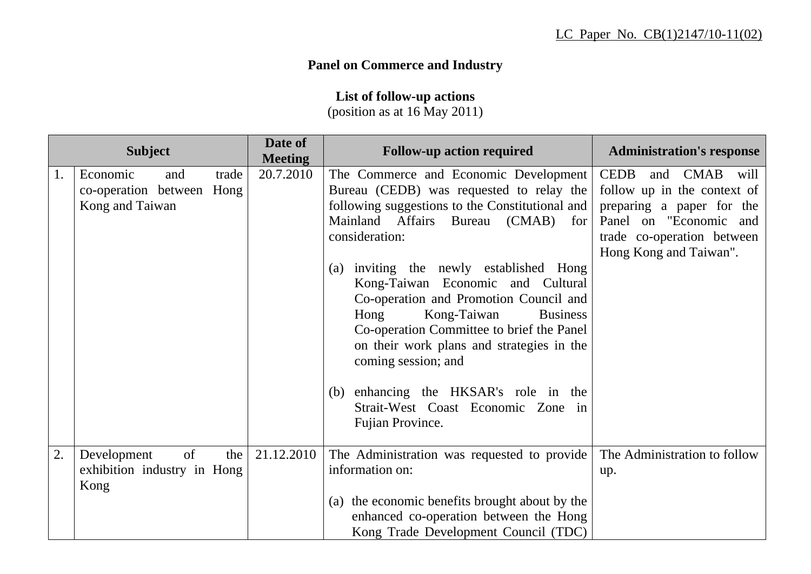## **Panel on Commerce and Industry**

**List of follow-up actions** 

(position as at 16 May 2011)

| <b>Subject</b> |                                                                 |       | Date of<br><b>Meeting</b> | <b>Follow-up action required</b>                                                                                                                                                                                                                                                                                                                                                                                                                                                                                                                                                        | <b>Administration's response</b>                                                                                                                                           |
|----------------|-----------------------------------------------------------------|-------|---------------------------|-----------------------------------------------------------------------------------------------------------------------------------------------------------------------------------------------------------------------------------------------------------------------------------------------------------------------------------------------------------------------------------------------------------------------------------------------------------------------------------------------------------------------------------------------------------------------------------------|----------------------------------------------------------------------------------------------------------------------------------------------------------------------------|
| 1.             | Economic<br>and<br>co-operation between Hong<br>Kong and Taiwan | trade | 20.7.2010                 | The Commerce and Economic Development<br>Bureau (CEDB) was requested to relay the<br>following suggestions to the Constitutional and<br>Mainland Affairs Bureau (CMAB)<br>for<br>consideration:<br>(a) inviting the newly established Hong<br>Kong-Taiwan Economic and Cultural<br>Co-operation and Promotion Council and<br>Hong<br>Kong-Taiwan<br><b>Business</b><br>Co-operation Committee to brief the Panel<br>on their work plans and strategies in the<br>coming session; and<br>(b) enhancing the HKSAR's role in the<br>Strait-West Coast Economic Zone in<br>Fujian Province. | <b>CEDB</b><br>and CMAB will<br>follow up in the context of<br>preparing a paper for the<br>Panel on "Economic and<br>trade co-operation between<br>Hong Kong and Taiwan". |
| 2.             | of<br>Development<br>exhibition industry in Hong<br>Kong        | the   | 21.12.2010                | The Administration was requested to provide<br>information on:<br>(a) the economic benefits brought about by the<br>enhanced co-operation between the Hong<br>Kong Trade Development Council (TDC)                                                                                                                                                                                                                                                                                                                                                                                      | The Administration to follow<br>up.                                                                                                                                        |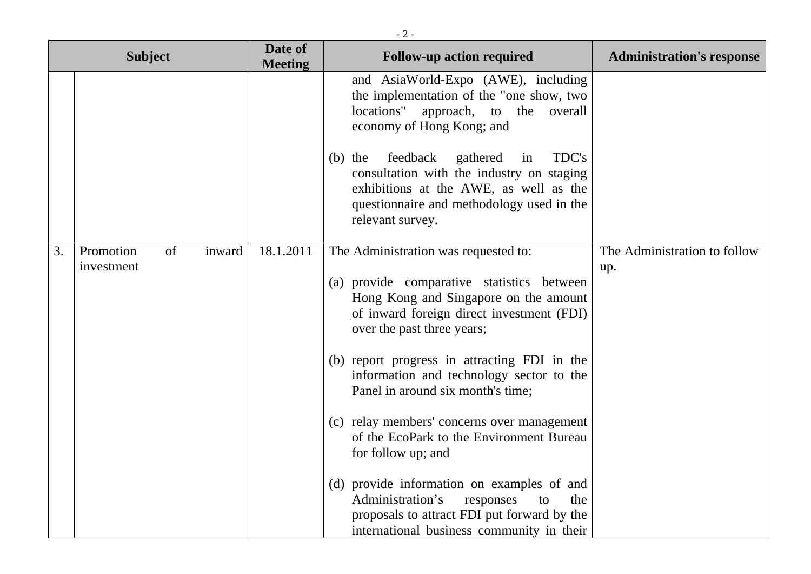|                | $-2-$                                   |                           |                                                                                                                                                                                                                                                                                                                                                                                        |                                     |  |  |
|----------------|-----------------------------------------|---------------------------|----------------------------------------------------------------------------------------------------------------------------------------------------------------------------------------------------------------------------------------------------------------------------------------------------------------------------------------------------------------------------------------|-------------------------------------|--|--|
| <b>Subject</b> |                                         | Date of<br><b>Meeting</b> | <b>Follow-up action required</b>                                                                                                                                                                                                                                                                                                                                                       | <b>Administration's response</b>    |  |  |
|                |                                         |                           | and AsiaWorld-Expo (AWE), including<br>the implementation of the "one show, two<br>locations" approach, to the overall<br>economy of Hong Kong; and<br>feedback<br>TDC's<br>gathered<br>$(b)$ the<br>in                                                                                                                                                                                |                                     |  |  |
|                |                                         |                           | consultation with the industry on staging<br>exhibitions at the AWE, as well as the<br>questionnaire and methodology used in the<br>relevant survey.                                                                                                                                                                                                                                   |                                     |  |  |
| 3.             | Promotion<br>of<br>inward<br>investment | 18.1.2011                 | The Administration was requested to:<br>(a) provide comparative statistics between<br>Hong Kong and Singapore on the amount<br>of inward foreign direct investment (FDI)<br>over the past three years;<br>(b) report progress in attracting FDI in the<br>information and technology sector to the<br>Panel in around six month's time;<br>(c) relay members' concerns over management | The Administration to follow<br>up. |  |  |
|                |                                         |                           | of the EcoPark to the Environment Bureau<br>for follow up; and<br>(d) provide information on examples of and<br>Administration's<br>responses<br>the<br>to<br>proposals to attract FDI put forward by the<br>international business community in their                                                                                                                                 |                                     |  |  |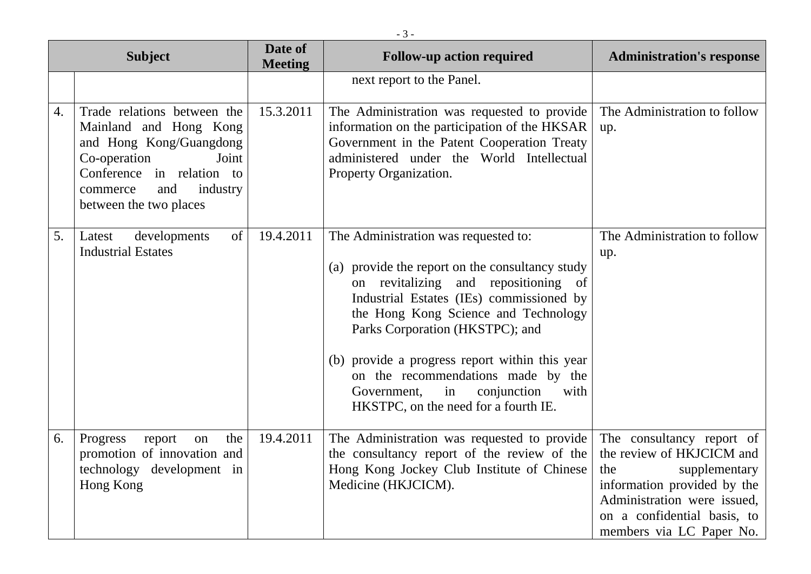| <b>Subject</b> |                                                                                                                                                                                                 | Date of<br><b>Meeting</b> | <b>Follow-up action required</b>                                                                                                                                                                                                                                                                                                                                                                                                   | <b>Administration's response</b>                                                                                                                                                                        |
|----------------|-------------------------------------------------------------------------------------------------------------------------------------------------------------------------------------------------|---------------------------|------------------------------------------------------------------------------------------------------------------------------------------------------------------------------------------------------------------------------------------------------------------------------------------------------------------------------------------------------------------------------------------------------------------------------------|---------------------------------------------------------------------------------------------------------------------------------------------------------------------------------------------------------|
|                |                                                                                                                                                                                                 |                           | next report to the Panel.                                                                                                                                                                                                                                                                                                                                                                                                          |                                                                                                                                                                                                         |
| 4.             | Trade relations between the<br>Mainland and Hong Kong<br>and Hong Kong/Guangdong<br>Co-operation<br>Joint<br>Conference in relation to<br>industry<br>and<br>commerce<br>between the two places | 15.3.2011                 | The Administration was requested to provide<br>information on the participation of the HKSAR<br>Government in the Patent Cooperation Treaty<br>administered under the World Intellectual<br>Property Organization.                                                                                                                                                                                                                 | The Administration to follow<br>up.                                                                                                                                                                     |
| 5.             | developments<br>of<br>Latest<br><b>Industrial Estates</b>                                                                                                                                       | 19.4.2011                 | The Administration was requested to:<br>(a) provide the report on the consultancy study<br>on revitalizing and repositioning of<br>Industrial Estates (IEs) commissioned by<br>the Hong Kong Science and Technology<br>Parks Corporation (HKSTPC); and<br>(b) provide a progress report within this year<br>on the recommendations made by the<br>Government,<br>in<br>conjunction<br>with<br>HKSTPC, on the need for a fourth IE. | The Administration to follow<br>up.                                                                                                                                                                     |
| 6.             | the<br>Progress<br>report<br>on<br>promotion of innovation and<br>technology development in<br>Hong Kong                                                                                        | 19.4.2011                 | The Administration was requested to provide<br>the consultancy report of the review of the<br>Hong Kong Jockey Club Institute of Chinese<br>Medicine (HKJCICM).                                                                                                                                                                                                                                                                    | The consultancy report of<br>the review of HKJCICM and<br>supplementary<br>the<br>information provided by the<br>Administration were issued,<br>on a confidential basis, to<br>members via LC Paper No. |